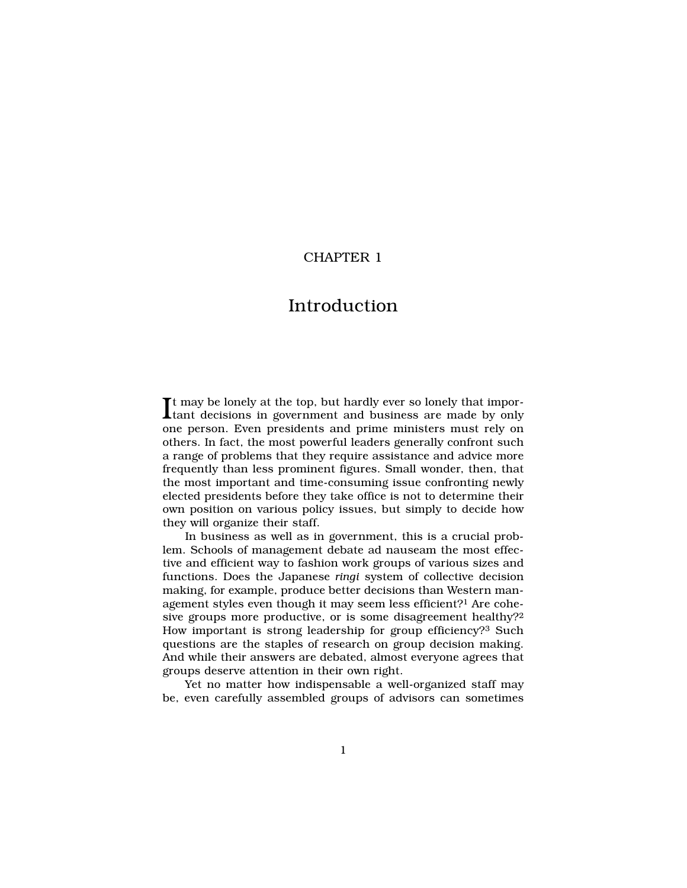# CHAPTER 1

# Introduction

It may be lonely at the top, but hardly ever so lonely that impor-<br>Itant decisions in government and business are made by only tant decisions in government and business are made by only one person. Even presidents and prime ministers must rely on others. In fact, the most powerful leaders generally confront such a range of problems that they require assistance and advice more frequently than less prominent figures. Small wonder, then, that the most important and time-consuming issue confronting newly elected presidents before they take office is not to determine their own position on various policy issues, but simply to decide how they will organize their staff.

In business as well as in government, this is a crucial problem. Schools of management debate ad nauseam the most effective and efficient way to fashion work groups of various sizes and functions. Does the Japanese *ringi* system of collective decision making, for example, produce better decisions than Western management styles even though it may seem less efficient?1 Are cohesive groups more productive, or is some disagreement healthy?<sup>2</sup> How important is strong leadership for group efficiency?<sup>3</sup> Such questions are the staples of research on group decision making. And while their answers are debated, almost everyone agrees that groups deserve attention in their own right.

Yet no matter how indispensable a well-organized staff may be, even carefully assembled groups of advisors can sometimes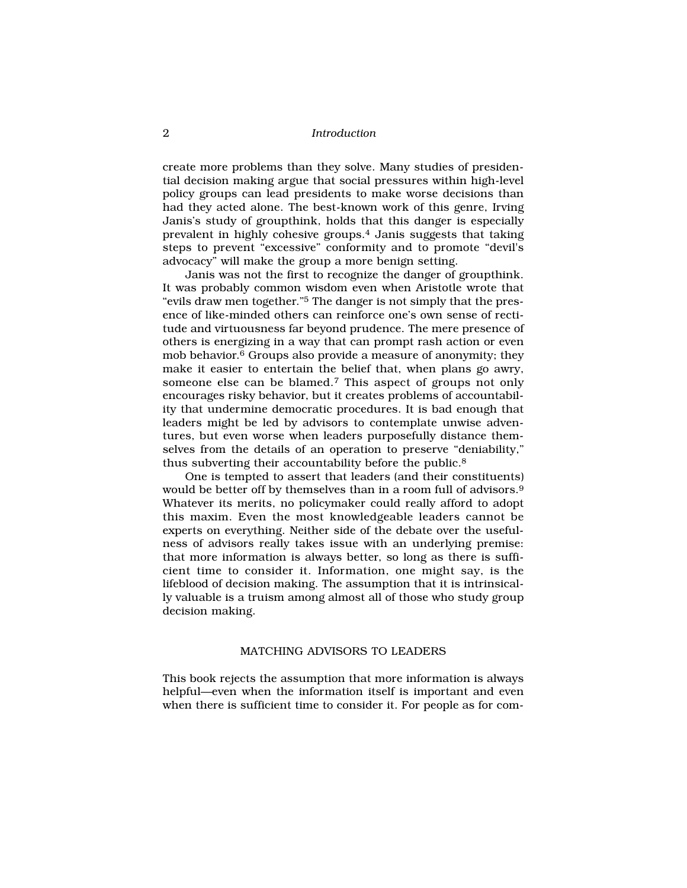create more problems than they solve. Many studies of presidential decision making argue that social pressures within high-level policy groups can lead presidents to make worse decisions than had they acted alone. The best-known work of this genre, Irving Janis's study of groupthink, holds that this danger is especially prevalent in highly cohesive groups.4 Janis suggests that taking steps to prevent "excessive" conformity and to promote "devil's advocacy" will make the group a more benign setting.

Janis was not the first to recognize the danger of groupthink. It was probably common wisdom even when Aristotle wrote that "evils draw men together."5 The danger is not simply that the presence of like-minded others can reinforce one's own sense of rectitude and virtuousness far beyond prudence. The mere presence of others is energizing in a way that can prompt rash action or even mob behavior.<sup> $\overline{6}$ </sup> Groups also provide a measure of anonymity; they make it easier to entertain the belief that, when plans go awry, someone else can be blamed.7 This aspect of groups not only encourages risky behavior, but it creates problems of accountability that undermine democratic procedures. It is bad enough that leaders might be led by advisors to contemplate unwise adventures, but even worse when leaders purposefully distance themselves from the details of an operation to preserve "deniability," thus subverting their accountability before the public.<sup>8</sup>

One is tempted to assert that leaders (and their constituents) would be better off by themselves than in a room full of advisors.<sup>9</sup> Whatever its merits, no policymaker could really afford to adopt this maxim. Even the most knowledgeable leaders cannot be experts on everything. Neither side of the debate over the usefulness of advisors really takes issue with an underlying premise: that more information is always better, so long as there is sufficient time to consider it. Information, one might say, is the lifeblood of decision making. The assumption that it is intrinsically valuable is a truism among almost all of those who study group decision making.

#### MATCHING ADVISORS TO LEADERS

This book rejects the assumption that more information is always helpful—even when the information itself is important and even when there is sufficient time to consider it. For people as for com-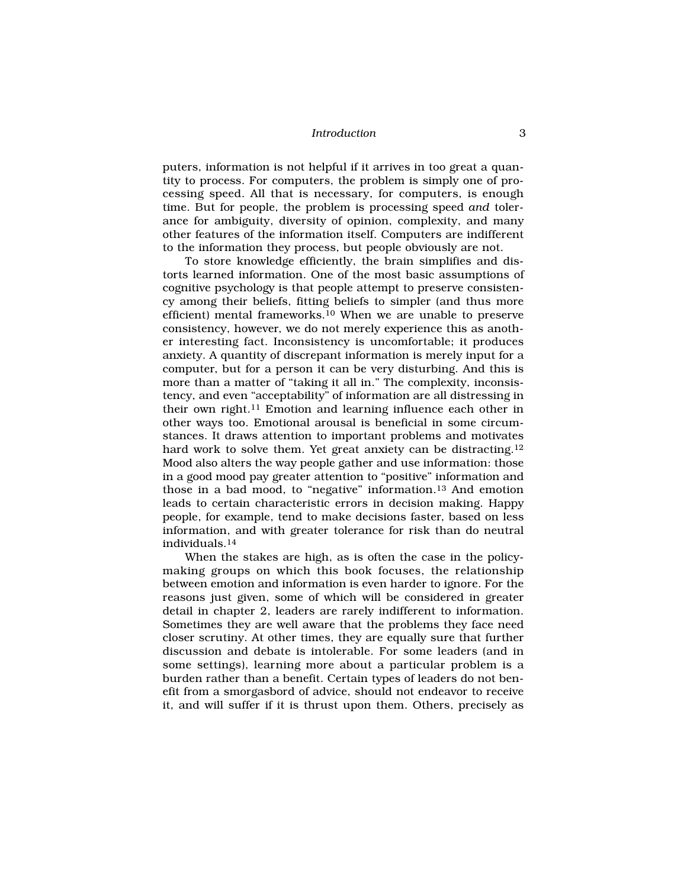puters, information is not helpful if it arrives in too great a quantity to process. For computers, the problem is simply one of processing speed. All that is necessary, for computers, is enough time. But for people, the problem is processing speed *and* tolerance for ambiguity, diversity of opinion, complexity, and many other features of the information itself. Computers are indifferent to the information they process, but people obviously are not.

To store knowledge efficiently, the brain simplifies and distorts learned information. One of the most basic assumptions of cognitive psychology is that people attempt to preserve consistency among their beliefs, fitting beliefs to simpler (and thus more efficient) mental frameworks.<sup>10</sup> When we are unable to preserve consistency, however, we do not merely experience this as another interesting fact. Inconsistency is uncomfortable; it produces anxiety. A quantity of discrepant information is merely input for a computer, but for a person it can be very disturbing. And this is more than a matter of "taking it all in." The complexity, inconsistency, and even "acceptability" of information are all distressing in their own right.11 Emotion and learning influence each other in other ways too. Emotional arousal is beneficial in some circumstances. It draws attention to important problems and motivates hard work to solve them. Yet great anxiety can be distracting.<sup>12</sup> Mood also alters the way people gather and use information: those in a good mood pay greater attention to "positive" information and those in a bad mood, to "negative" information.13 And emotion leads to certain characteristic errors in decision making. Happy people, for example, tend to make decisions faster, based on less information, and with greater tolerance for risk than do neutral individuals.14

When the stakes are high, as is often the case in the policymaking groups on which this book focuses, the relationship between emotion and information is even harder to ignore. For the reasons just given, some of which will be considered in greater detail in chapter 2, leaders are rarely indifferent to information. Sometimes they are well aware that the problems they face need closer scrutiny. At other times, they are equally sure that further discussion and debate is intolerable. For some leaders (and in some settings), learning more about a particular problem is a burden rather than a benefit. Certain types of leaders do not benefit from a smorgasbord of advice, should not endeavor to receive it, and will suffer if it is thrust upon them. Others, precisely as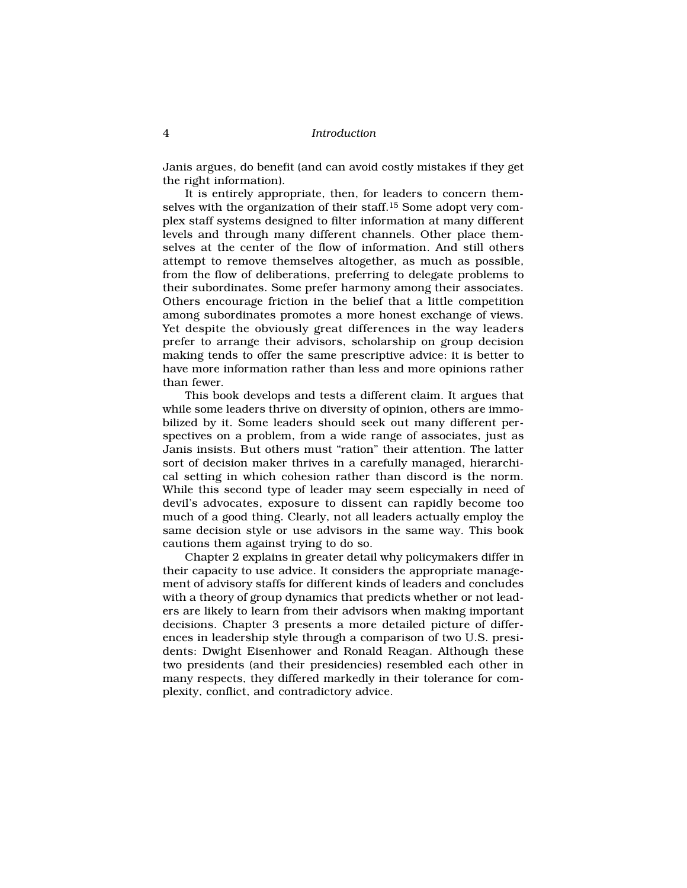Janis argues, do benefit (and can avoid costly mistakes if they get the right information).

It is entirely appropriate, then, for leaders to concern themselves with the organization of their staff.15 Some adopt very complex staff systems designed to filter information at many different levels and through many different channels. Other place themselves at the center of the flow of information. And still others attempt to remove themselves altogether, as much as possible, from the flow of deliberations, preferring to delegate problems to their subordinates. Some prefer harmony among their associates. Others encourage friction in the belief that a little competition among subordinates promotes a more honest exchange of views. Yet despite the obviously great differences in the way leaders prefer to arrange their advisors, scholarship on group decision making tends to offer the same prescriptive advice: it is better to have more information rather than less and more opinions rather than fewer.

This book develops and tests a different claim. It argues that while some leaders thrive on diversity of opinion, others are immobilized by it. Some leaders should seek out many different perspectives on a problem, from a wide range of associates, just as Janis insists. But others must "ration" their attention. The latter sort of decision maker thrives in a carefully managed, hierarchical setting in which cohesion rather than discord is the norm. While this second type of leader may seem especially in need of devil's advocates, exposure to dissent can rapidly become too much of a good thing. Clearly, not all leaders actually employ the same decision style or use advisors in the same way. This book cautions them against trying to do so.

Chapter 2 explains in greater detail why policymakers differ in their capacity to use advice. It considers the appropriate management of advisory staffs for different kinds of leaders and concludes with a theory of group dynamics that predicts whether or not leaders are likely to learn from their advisors when making important decisions. Chapter 3 presents a more detailed picture of differences in leadership style through a comparison of two U.S. presidents: Dwight Eisenhower and Ronald Reagan. Although these two presidents (and their presidencies) resembled each other in many respects, they differed markedly in their tolerance for complexity, conflict, and contradictory advice.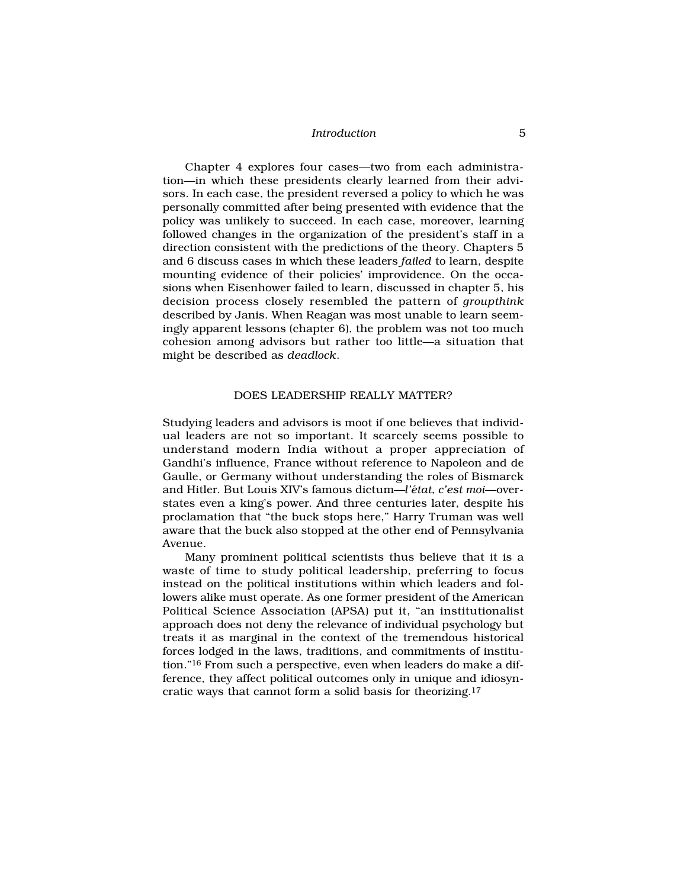Chapter 4 explores four cases—two from each administration—in which these presidents clearly learned from their advisors. In each case, the president reversed a policy to which he was personally committed after being presented with evidence that the policy was unlikely to succeed. In each case, moreover, learning followed changes in the organization of the president's staff in a direction consistent with the predictions of the theory. Chapters 5 and 6 discuss cases in which these leaders *failed* to learn, despite mounting evidence of their policies' improvidence. On the occasions when Eisenhower failed to learn, discussed in chapter 5, his decision process closely resembled the pattern of *groupthink* described by Janis. When Reagan was most unable to learn seemingly apparent lessons (chapter 6), the problem was not too much cohesion among advisors but rather too little—a situation that might be described as *deadlock*.

## DOES LEADERSHIP REALLY MATTER?

Studying leaders and advisors is moot if one believes that individual leaders are not so important. It scarcely seems possible to understand modern India without a proper appreciation of Gandhi's influence, France without reference to Napoleon and de Gaulle, or Germany without understanding the roles of Bismarck and Hitler. But Louis XIV's famous dictum—*l'état, c'est moi*—overstates even a king's power. And three centuries later, despite his proclamation that "the buck stops here," Harry Truman was well aware that the buck also stopped at the other end of Pennsylvania Avenue.

Many prominent political scientists thus believe that it is a waste of time to study political leadership, preferring to focus instead on the political institutions within which leaders and followers alike must operate. As one former president of the American Political Science Association (APSA) put it, "an institutionalist approach does not deny the relevance of individual psychology but treats it as marginal in the context of the tremendous historical forces lodged in the laws, traditions, and commitments of institution."16 From such a perspective, even when leaders do make a difference, they affect political outcomes only in unique and idiosyncratic ways that cannot form a solid basis for theorizing.17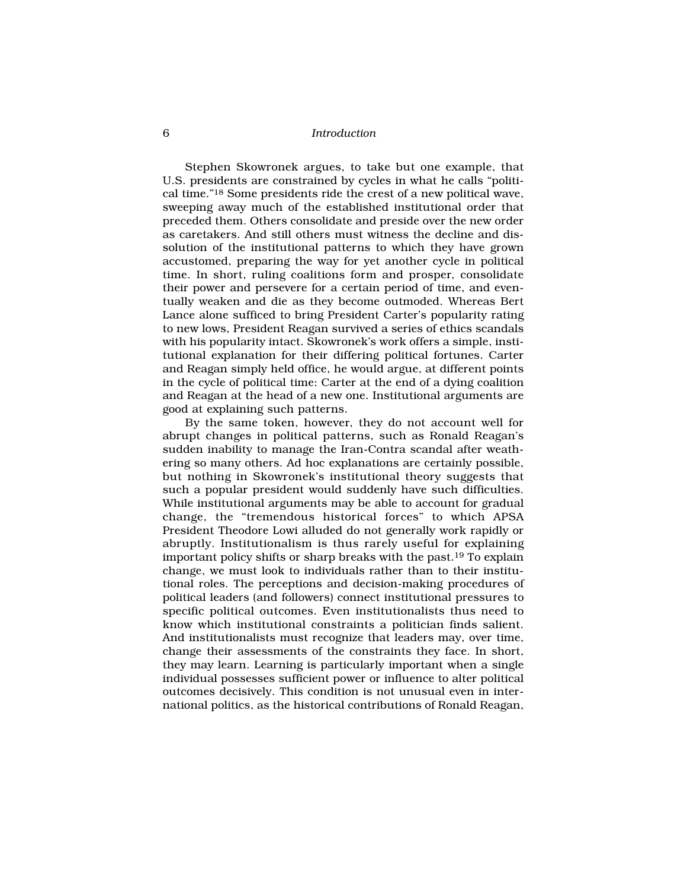Stephen Skowronek argues, to take but one example, that U.S. presidents are constrained by cycles in what he calls "political time."18 Some presidents ride the crest of a new political wave, sweeping away much of the established institutional order that preceded them. Others consolidate and preside over the new order as caretakers. And still others must witness the decline and dissolution of the institutional patterns to which they have grown accustomed, preparing the way for yet another cycle in political time. In short, ruling coalitions form and prosper, consolidate their power and persevere for a certain period of time, and eventually weaken and die as they become outmoded. Whereas Bert Lance alone sufficed to bring President Carter's popularity rating to new lows, President Reagan survived a series of ethics scandals with his popularity intact. Skowronek's work offers a simple, institutional explanation for their differing political fortunes. Carter and Reagan simply held office, he would argue, at different points in the cycle of political time: Carter at the end of a dying coalition and Reagan at the head of a new one. Institutional arguments are good at explaining such patterns.

By the same token, however, they do not account well for abrupt changes in political patterns, such as Ronald Reagan's sudden inability to manage the Iran-Contra scandal after weathering so many others. Ad hoc explanations are certainly possible, but nothing in Skowronek's institutional theory suggests that such a popular president would suddenly have such difficulties. While institutional arguments may be able to account for gradual change, the "tremendous historical forces" to which APSA President Theodore Lowi alluded do not generally work rapidly or abruptly. Institutionalism is thus rarely useful for explaining important policy shifts or sharp breaks with the past.19 To explain change, we must look to individuals rather than to their institutional roles. The perceptions and decision-making procedures of political leaders (and followers) connect institutional pressures to specific political outcomes. Even institutionalists thus need to know which institutional constraints a politician finds salient. And institutionalists must recognize that leaders may, over time, change their assessments of the constraints they face. In short, they may learn. Learning is particularly important when a single individual possesses sufficient power or influence to alter political outcomes decisively. This condition is not unusual even in international politics, as the historical contributions of Ronald Reagan,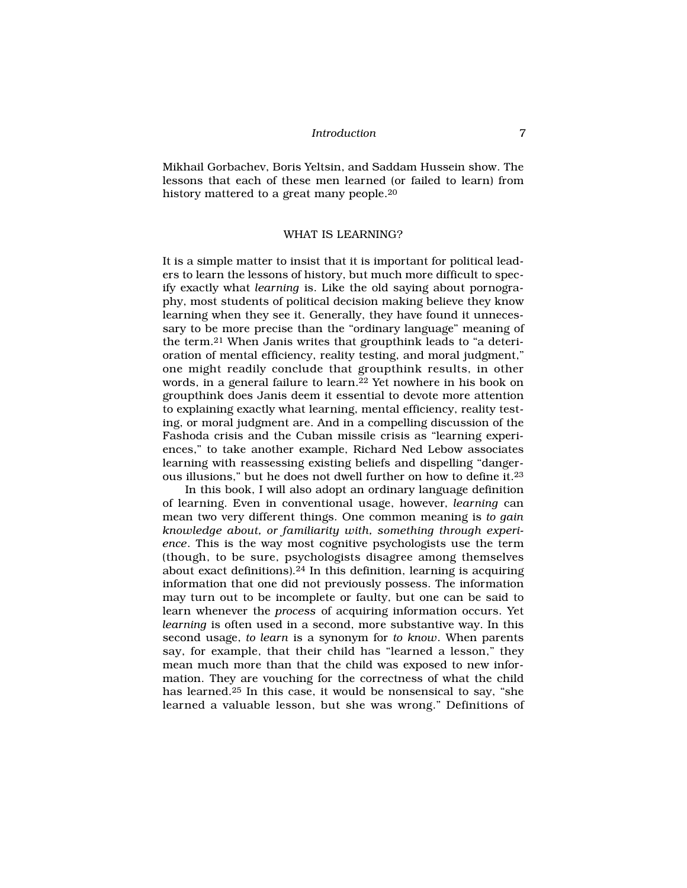Mikhail Gorbachev, Boris Yeltsin, and Saddam Hussein show. The lessons that each of these men learned (or failed to learn) from history mattered to a great many people.<sup>20</sup>

#### WHAT IS LEARNING?

It is a simple matter to insist that it is important for political leaders to learn the lessons of history, but much more difficult to specify exactly what *learning* is. Like the old saying about pornography, most students of political decision making believe they know learning when they see it. Generally, they have found it unnecessary to be more precise than the "ordinary language" meaning of the term.21 When Janis writes that groupthink leads to "a deterioration of mental efficiency, reality testing, and moral judgment," one might readily conclude that groupthink results, in other words, in a general failure to learn.<sup>22</sup> Yet nowhere in his book on groupthink does Janis deem it essential to devote more attention to explaining exactly what learning, mental efficiency, reality testing, or moral judgment are. And in a compelling discussion of the Fashoda crisis and the Cuban missile crisis as "learning experiences," to take another example, Richard Ned Lebow associates learning with reassessing existing beliefs and dispelling "dangerous illusions," but he does not dwell further on how to define it.23

In this book, I will also adopt an ordinary language definition of learning. Even in conventional usage, however, *learning* can mean two very different things. One common meaning is *to gain knowledge about, or familiarity with, something through experience*. This is the way most cognitive psychologists use the term (though, to be sure, psychologists disagree among themselves about exact definitions).24 In this definition, learning is acquiring information that one did not previously possess. The information may turn out to be incomplete or faulty, but one can be said to learn whenever the *process* of acquiring information occurs. Yet *learning* is often used in a second, more substantive way. In this second usage, *to learn* is a synonym for *to know*. When parents say, for example, that their child has "learned a lesson," they mean much more than that the child was exposed to new information. They are vouching for the correctness of what the child has learned.25 In this case, it would be nonsensical to say, "she learned a valuable lesson, but she was wrong." Definitions of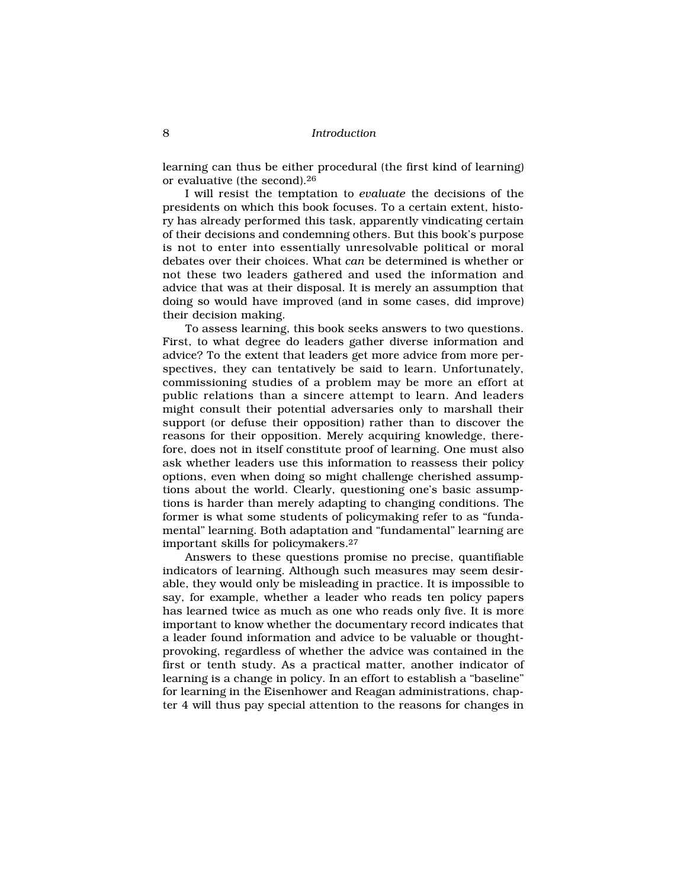learning can thus be either procedural (the first kind of learning) or evaluative (the second).26

I will resist the temptation to *evaluate* the decisions of the presidents on which this book focuses. To a certain extent, history has already performed this task, apparently vindicating certain of their decisions and condemning others. But this book's purpose is not to enter into essentially unresolvable political or moral debates over their choices. What *can* be determined is whether or not these two leaders gathered and used the information and advice that was at their disposal. It is merely an assumption that doing so would have improved (and in some cases, did improve) their decision making.

To assess learning, this book seeks answers to two questions. First, to what degree do leaders gather diverse information and advice? To the extent that leaders get more advice from more perspectives, they can tentatively be said to learn. Unfortunately, commissioning studies of a problem may be more an effort at public relations than a sincere attempt to learn. And leaders might consult their potential adversaries only to marshall their support (or defuse their opposition) rather than to discover the reasons for their opposition. Merely acquiring knowledge, therefore, does not in itself constitute proof of learning. One must also ask whether leaders use this information to reassess their policy options, even when doing so might challenge cherished assumptions about the world. Clearly, questioning one's basic assumptions is harder than merely adapting to changing conditions. The former is what some students of policymaking refer to as "fundamental" learning. Both adaptation and "fundamental" learning are important skills for policymakers.27

Answers to these questions promise no precise, quantifiable indicators of learning. Although such measures may seem desirable, they would only be misleading in practice. It is impossible to say, for example, whether a leader who reads ten policy papers has learned twice as much as one who reads only five. It is more important to know whether the documentary record indicates that a leader found information and advice to be valuable or thoughtprovoking, regardless of whether the advice was contained in the first or tenth study. As a practical matter, another indicator of learning is a change in policy. In an effort to establish a "baseline" for learning in the Eisenhower and Reagan administrations, chapter 4 will thus pay special attention to the reasons for changes in